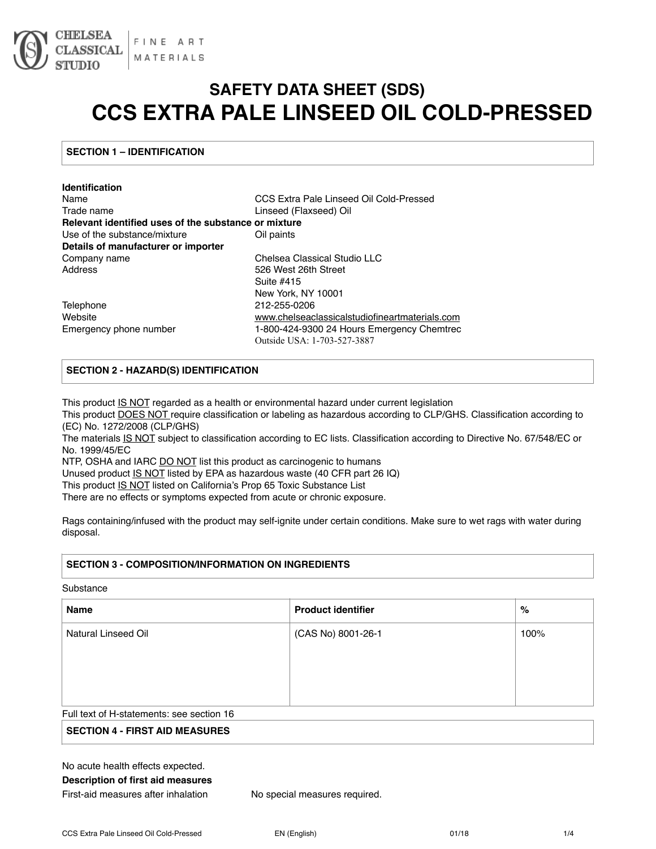

# **SAFETY DATA SHEET (SDS) CCS EXTRA PALE LINSEED OIL COLD-PRESSED**

### **SECTION 1 – IDENTIFICATION**

| <b>Identification</b>                                |                                                |
|------------------------------------------------------|------------------------------------------------|
| Name                                                 | CCS Extra Pale Linseed Oil Cold-Pressed        |
| Trade name                                           | Linseed (Flaxseed) Oil                         |
| Relevant identified uses of the substance or mixture |                                                |
| Use of the substance/mixture                         | Oil paints                                     |
| Details of manufacturer or importer                  |                                                |
| Company name                                         | Chelsea Classical Studio LLC                   |
| Address                                              | 526 West 26th Street                           |
|                                                      | Suite #415                                     |
|                                                      | New York, NY 10001                             |
| Telephone                                            | 212-255-0206                                   |
| Website                                              | www.chelseaclassicalstudiofineartmaterials.com |
| Emergency phone number                               | 1-800-424-9300 24 Hours Emergency Chemtrec     |
|                                                      | Outside USA: 1-703-527-3887                    |

## **SECTION 2 - HAZARD(S) IDENTIFICATION**

This product IS NOT regarded as a health or environmental hazard under current legislation

This product DOES NOT require classification or labeling as hazardous according to CLP/GHS. Classification according to (EC) No. 1272/2008 (CLP/GHS)

The materials **IS NOT** subject to classification according to EC lists. Classification according to Directive No. 67/548/EC or No. 1999/45/EC

NTP, OSHA and IARC DO NOT list this product as carcinogenic to humans

Unused product IS NOT listed by EPA as hazardous waste (40 CFR part 26 IQ)

This product IS NOT listed on California's Prop 65 Toxic Substance List

There are no effects or symptoms expected from acute or chronic exposure.

Rags containing/infused with the product may self-ignite under certain conditions. Make sure to wet rags with water during disposal.

#### **SECTION 3 - COMPOSITION/INFORMATION ON INGREDIENTS**

#### Substance

| <b>Name</b>                               | <b>Product identifier</b> | %    |
|-------------------------------------------|---------------------------|------|
| Natural Linseed Oil                       | (CAS No) 8001-26-1        | 100% |
|                                           |                           |      |
|                                           |                           |      |
|                                           |                           |      |
| Full text of H-statements: see section 16 |                           |      |

### **SECTION 4 - FIRST AID MEASURES**

No acute health effects expected. **Description of first aid measures** 

First-aid measures after inhalation No special measures required.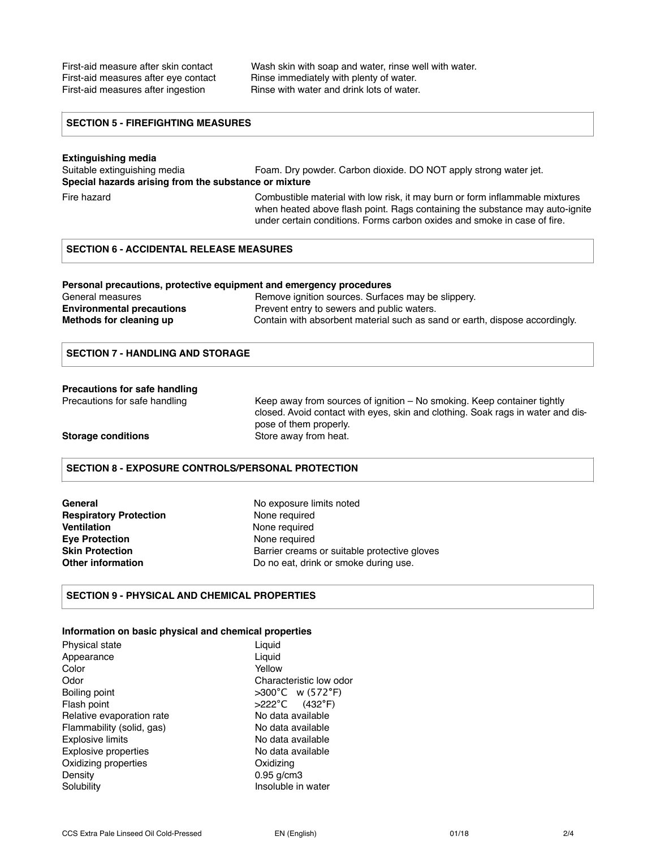First-aid measure after skin contact Wash skin with soap and water, rinse well with water. First-aid measures after eye contact Rinse immediately with plenty of water. First-aid measures after ingestion Rinse with water and drink lots of water.

#### **SECTION 5 - FIREFIGHTING MEASURES**

**Extinguishing media**  Foam. Dry powder. Carbon dioxide. DO NOT apply strong water jet. **Special hazards arising from the substance or mixture** 

Fire hazard Combustible material with low risk, it may burn or form inflammable mixtures when heated above flash point. Rags containing the substance may auto-ignite under certain conditions. Forms carbon oxides and smoke in case of fire.

#### **SECTION 6 - ACCIDENTAL RELEASE MEASURES**

#### **Personal precautions, protective equipment and emergency procedures**

| General measures                 | Remove ignition sources. Surfaces may be slippery.                          |
|----------------------------------|-----------------------------------------------------------------------------|
| <b>Environmental precautions</b> | Prevent entry to sewers and public waters.                                  |
| Methods for cleaning up          | Contain with absorbent material such as sand or earth, dispose accordingly. |

#### **SECTION 7 - HANDLING AND STORAGE**

#### **Precautions for safe handling**

Precautions for safe handling Keep away from sources of ignition – No smoking. Keep container tightly closed. Avoid contact with eyes, skin and clothing. Soak rags in water and dispose of them properly. **Storage conditions** Store away from heat.

### **SECTION 8 - EXPOSURE CONTROLS/PERSONAL PROTECTION**

| General                       |
|-------------------------------|
| <b>Respiratory Protection</b> |
| Ventilation                   |
| <b>Eve Protection</b>         |
| Skin Protection               |
| Other information             |

No exposure limits noted **None required None required None required** Barrier creams or suitable protective gloves Do no eat, drink or smoke during use.

#### **SECTION 9 - PHYSICAL AND CHEMICAL PROPERTIES**

#### **Information on basic physical and chemical properties**

| Physical state              | Liquid                                |
|-----------------------------|---------------------------------------|
| Appearance                  | Liguid                                |
| Color                       | Yellow                                |
| Odor                        | Characteristic low odor               |
| Boiling point               | $>300^{\circ}$ C w (572 $^{\circ}$ F) |
| Flash point                 | $>222^{\circ}$ C (432°F)              |
| Relative evaporation rate   | No data available                     |
| Flammability (solid, gas)   | No data available                     |
| <b>Explosive limits</b>     | No data available                     |
| <b>Explosive properties</b> | No data available                     |
| Oxidizing properties        | Oxidizing                             |
| Density                     | $0.95$ g/cm3                          |
| Solubility                  | Insoluble in water                    |
|                             |                                       |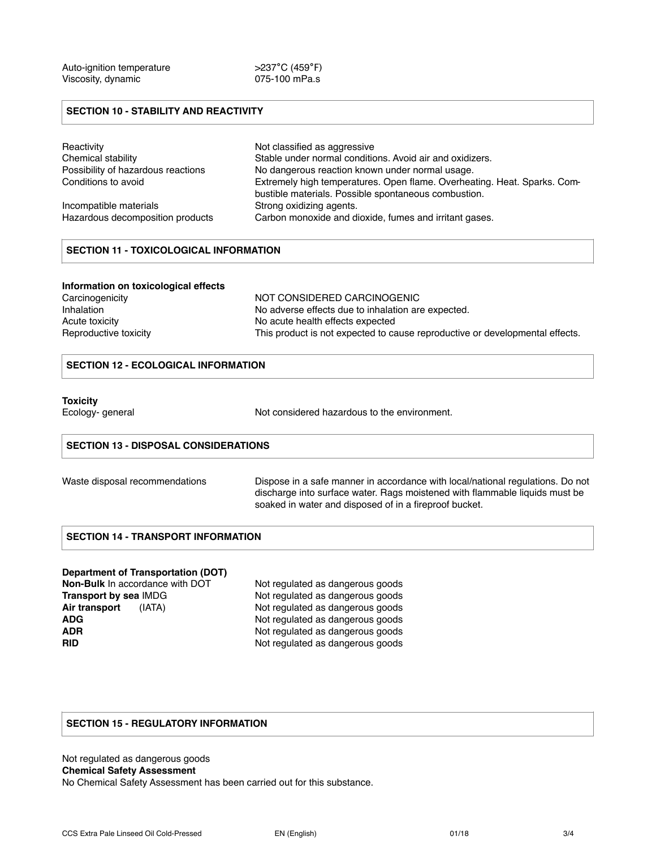#### **SECTION 10 - STABILITY AND REACTIVITY**

| Reactivity                         | Not classified as aggressive                                                                                                     |
|------------------------------------|----------------------------------------------------------------------------------------------------------------------------------|
| Chemical stability                 | Stable under normal conditions. Avoid air and oxidizers.                                                                         |
| Possibility of hazardous reactions | No dangerous reaction known under normal usage.                                                                                  |
| Conditions to avoid                | Extremely high temperatures. Open flame. Overheating. Heat. Sparks. Com-<br>bustible materials. Possible spontaneous combustion. |
| Incompatible materials             | Strong oxidizing agents.                                                                                                         |
| Hazardous decomposition products   | Carbon monoxide and dioxide, fumes and irritant gases.                                                                           |

### **SECTION 11 - TOXICOLOGICAL INFORMATION**

#### **Information on toxicological effects**

| Carcinogenicity       | NOT CONSIDERED CARCINOGENIC                                                  |
|-----------------------|------------------------------------------------------------------------------|
| Inhalation            | No adverse effects due to inhalation are expected.                           |
| Acute toxicity        | No acute health effects expected                                             |
| Reproductive toxicity | This product is not expected to cause reproductive or developmental effects. |

#### **SECTION 12 - ECOLOGICAL INFORMATION**

#### **Toxicity**

Ecology- general **Ecology-** general **Not considered hazardous to the environment.** 

#### **SECTION 13 - DISPOSAL CONSIDERATIONS**

|  | Waste disposal recommendations |
|--|--------------------------------|
|--|--------------------------------|

Dispose in a safe manner in accordance with local/national regulations. Do not discharge into surface water. Rags moistened with flammable liquids must be soaked in water and disposed of in a fireproof bucket.

#### **SECTION 14 - TRANSPORT INFORMATION**

#### **Department of Transportation (DOT)**

**Non-Bulk** In accordance with DOT Not regulated as dangerous goods<br> **Transport by sea** IMDG Not regulated as dangerous goods Air transport (IATA) Not regulated as dangerous goods **ADG** Not regulated as dangerous goods **ADR** Not regulated as dangerous goods<br> **RID** Not regulated as dangerous goods

Not regulated as dangerous goods Not regulated as dangerous goods

#### **SECTION 15 - REGULATORY INFORMATION**

Not regulated as dangerous goods **Chemical Safety Assessment**  No Chemical Safety Assessment has been carried out for this substance.